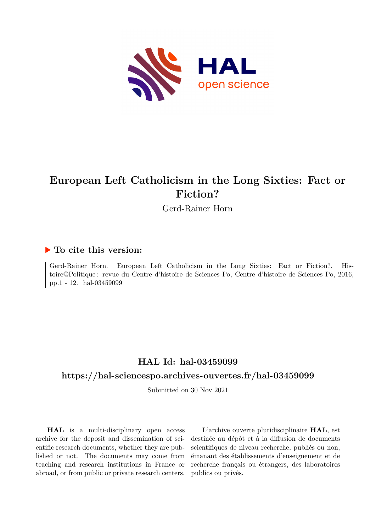

# **European Left Catholicism in the Long Sixties: Fact or Fiction?**

Gerd-Rainer Horn

### **To cite this version:**

Gerd-Rainer Horn. European Left Catholicism in the Long Sixties: Fact or Fiction?. Histoire@Politique : revue du Centre d'histoire de Sciences Po, Centre d'histoire de Sciences Po, 2016, pp.1 - 12. hal-03459099

# **HAL Id: hal-03459099**

#### **<https://hal-sciencespo.archives-ouvertes.fr/hal-03459099>**

Submitted on 30 Nov 2021

**HAL** is a multi-disciplinary open access archive for the deposit and dissemination of scientific research documents, whether they are published or not. The documents may come from teaching and research institutions in France or abroad, or from public or private research centers.

L'archive ouverte pluridisciplinaire **HAL**, est destinée au dépôt et à la diffusion de documents scientifiques de niveau recherche, publiés ou non, émanant des établissements d'enseignement et de recherche français ou étrangers, des laboratoires publics ou privés.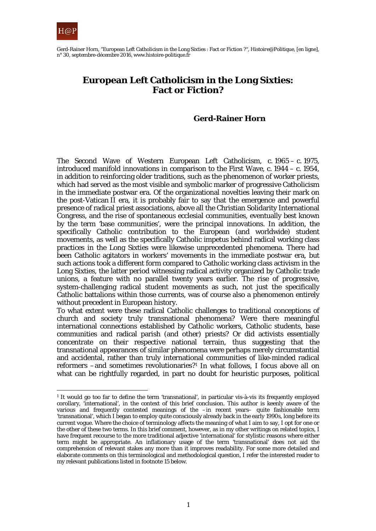

Gerd-Rainer Horn, "European Left Catholicism in the Long Sixties : Fact or Fiction ?", *Histoire@Politique*, [en ligne], n° 30, septembre-décembre 2016, www.histoire-politique.fr

### **European Left Catholicism in the Long Sixties: Fact or Fiction?**

#### **Gerd-Rainer Horn**

The Second Wave of Western European Left Catholicism, c. 1965 – c. 1975, introduced manifold innovations in comparison to the First Wave, c. 1944 – c. 1954, in addition to reinforcing older traditions, such as the phenomenon of worker priests, which had served as the most visible and symbolic marker of progressive Catholicism in the immediate postwar era. Of the organizational novelties leaving their mark on the post-Vatican  $\overline{\mathbf{I}}$  era, it is probably fair to say that the emergence and powerful presence of radical priest associations, above all the Christian Solidarity International Congress, and the rise of spontaneous ecclesial communities, eventually best known by the term 'base communities', were the principal innovations. In addition, the specifically Catholic contribution to the European (and worldwide) student movements, as well as the specifically Catholic impetus behind radical working class practices in the Long Sixties were likewise unprecedented phenomena. There had been Catholic agitators in workers' movements in the immediate postwar era, but such actions took a different form compared to Catholic working class activism in the Long Sixties, the latter period witnessing radical activity organized by Catholic trade unions, a feature with no parallel twenty years earlier. The rise of progressive, system-challenging radical student movements as such, not just the specifically Catholic battalions within those currents, was of course also a phenomenon entirely without precedent in European history.

To what extent were these radical Catholic challenges to traditional conceptions of church and society truly transnational phenomena? Were there meaningful international connections established by Catholic workers, Catholic students, base communities and radical parish (and other) priests? Or did activists essentially concentrate on their respective national terrain, thus suggesting that the transnational appearances of similar phenomena were perhaps merely circumstantial and accidental, rather than truly international communities of like-minded radical reformers –and sometimes revolutionaries?<sup>1</sup> In what follows, I focus above all on what can be rightfully regarded, in part no doubt for heuristic purposes, *political*

<sup>1</sup> It would go too far to define the term 'transnational', in particular vis-à-vis its frequently employed corollary, 'international', in the context of this brief conclusion. This author is keenly aware of the various and frequently contested meanings of the -in recent years- quite fashionable term 'transnational', which I began to employ quite consciously already back in the early 1990s, long before its current vogue. Where the choice of terminology affects the meaning of what I aim to say, I opt for one or the other of these two terms. In this brief comment, however, as in my other writings on related topics, I have frequent recourse to the more traditional adjective 'international' for stylistic reasons where either term might be appropriate. An inflationary usage of the term 'transnational' does not aid the comprehension of relevant stakes any more than it improves readability. For some more detailed and elaborate comments on this terminological and methodological question, I refer the interested reader to my relevant publications listed in footnote 15 below.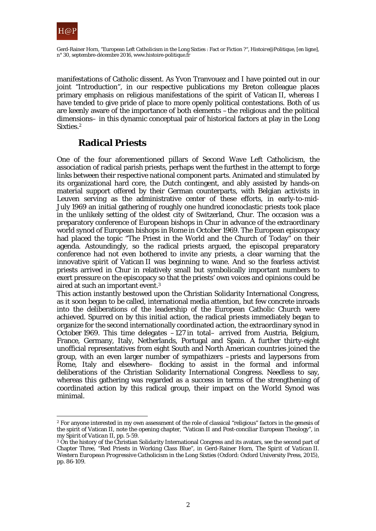

manifestations of Catholic dissent. As Yvon Tranvouez and I have pointed out in our joint "Introduction", in our respective publications my Breton colleague places primary emphasis on religious manifestations of the spirit of Vatican II, whereas I have tended to give pride of place to more openly political contestations. Both of us are keenly aware of the importance of both elements –the religious *and* the political dimensions– in this dynamic conceptual pair of historical factors at play in the Long Sixties.2

### **Radical Priests**

One of the four aforementioned pillars of Second Wave Left Catholicism, the association of radical parish priests, perhaps went the furthest in the attempt to forge links between their respective national component parts. Animated and stimulated by its organizational hard core, the Dutch contingent, and ably assisted by hands-on material support offered by their German counterparts, with Belgian activists in Leuven serving as the administrative center of these efforts, in early-to-mid-July 1969 an initial gathering of roughly one hundred iconoclastic priests took place in the unlikely setting of the oldest city of Switzerland, Chur. The occasion was a preparatory conference of European bishops in Chur in advance of the extraordinary world synod of European bishops in Rome in October 1969. The European episcopacy had placed the topic "The Priest in the World and the Church of Today" on their agenda. Astoundingly, so the radical priests argued, the episcopal preparatory conference had not even bothered to invite any priests, a clear warning that the innovative spirit of Vatican II was beginning to wane. And so the fearless activist priests arrived in Chur in relatively small but symbolically important numbers to exert pressure on the episcopacy so that the priests' own voices and opinions could be aired at such an important event.3

This action instantly bestowed upon the Christian Solidarity International Congress, as it soon began to be called, international media attention, but few concrete inroads into the deliberations of the leadership of the European Catholic Church were achieved. Spurred on by this initial action, the radical priests immediately began to organize for the second internationally coordinated action, the extraordinary synod in October 1969. This time delegates –127 in total– arrived from Austria, Belgium, France, Germany, Italy, Netherlands, Portugal and Spain. A further thirty-eight unofficial representatives from eight South and North American countries joined the group, with an even larger number of sympathizers –priests and laypersons from Rome, Italy and elsewhere– flocking to assist in the formal and informal deliberations of the Christian Solidarity International Congress. Needless to say, whereas this gathering was regarded as a success in terms of the strengthening of coordinated action by this radical group, their impact on the World Synod was minimal.

 $\overline{a}$ <sup>2</sup> For anyone interested in my own assessment of the role of classical "religious" factors in the genesis of the spirit of Vatican II, note the opening chapter, "Vatican II and Post-conciliar European Theology", in my *Spirit of Vatican II*, pp. 5-59.

<sup>&</sup>lt;sup>3</sup> On the history of the Christian Solidarity International Congress and its avatars, see the second part of Chapter Three, "Red Priests in Working Class Blue", in Gerd-Rainer Horn, *The Spirit of Vatican II. Western European Progressive Catholicism in the Long Sixties* (Oxford: Oxford University Press, 2015), pp. 86-109.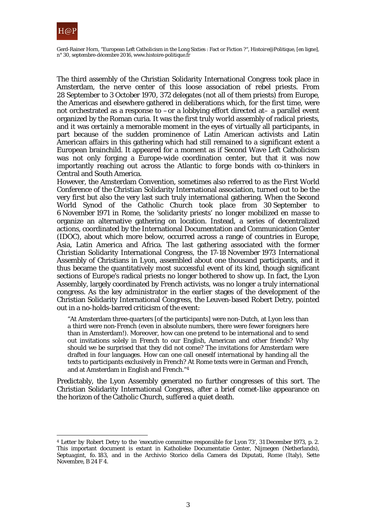

Gerd-Rainer Horn, "European Left Catholicism in the Long Sixties : Fact or Fiction ?", *Histoire@Politique*, [en ligne], n° 30, septembre-décembre 2016, www.histoire-politique.fr

The third assembly of the Christian Solidarity International Congress took place in Amsterdam, the nerve center of this loose association of rebel priests. From 28 September to 3 October 1970, 372 delegates (not all of them priests) from Europe, the Americas and elsewhere gathered in deliberations which, for the first time, were not orchestrated as a response to –or a lobbying effort directed at– a parallel event organized by the Roman curia. It was the first truly *world* assembly of radical priests, and it was certainly a memorable moment in the eyes of virtually all participants, in part because of the sudden prominence of Latin American activists and Latin American affairs in this gathering which had still remained to a significant extent a European brainchild. It appeared for a moment as if Second Wave Left Catholicism was not only forging a Europe-wide coordination center, but that it was now importantly reaching out across the Atlantic to forge bonds with co-thinkers in Central and South America.

However, the Amsterdam Convention, sometimes also referred to as the First World Conference of the Christian Solidarity International association, turned out to be the very first but also the very last such truly international gathering. When the Second World Synod of the Catholic Church took place from 30 September to 6 November 1971 in Rome, the 'solidarity priests' no longer mobilized *en masse* to organize an alternative gathering on location. Instead, a series of decentralized actions, coordinated by the International Documentation and Communication Center (IDOC), about which more below, occurred across a range of countries in Europe, Asia, Latin America and Africa. The last gathering associated with the former Christian Solidarity International Congress, the 17-18 November 1973 International Assembly of Christians in Lyon, assembled about one thousand participants, and it thus became the quantitatively most successful event of its kind, though significant sections of Europe's radical priests no longer bothered to show up. In fact, the Lyon Assembly, largely coordinated by French activists, was no longer a truly international congress. As the key administrator in the earlier stages of the development of the Christian Solidarity International Congress, the Leuven-based Robert Detry, pointed out in a no-holds-barred criticism of the event:

"At Amsterdam three-quarters [of the participants] were non-Dutch, at Lyon less than a third were non-French (even in absolute numbers, there were fewer foreigners here than in Amsterdam!). Moreover, how can one pretend to be international and to send out invitations solely in French to our English, American and other friends? Why should we be surprised that they did not come? The invitations for Amsterdam were drafted in four languages. How can one call oneself international by handing all the texts to participants exclusively in French? At Rome texts were in German and French, and at Amsterdam in English and French."4

Predictably, the Lyon Assembly generated no further congresses of this sort. The Christian Solidarity International Congress, after a brief comet-like appearance on the horizon of the Catholic Church, suffered a quiet death.

<sup>4</sup> Letter by Robert Detry to the 'executive committee responsible for Lyon 73', 31 December 1973, p. 2. This important document is extant in Katholieke Documentatie Center, Nijmegen (Netherlands), *Septuagint*, fo. 183, and in the Archivio Storico della Camera dei Diputati, Rome (Italy), Sette Novembre, B 24 F 4.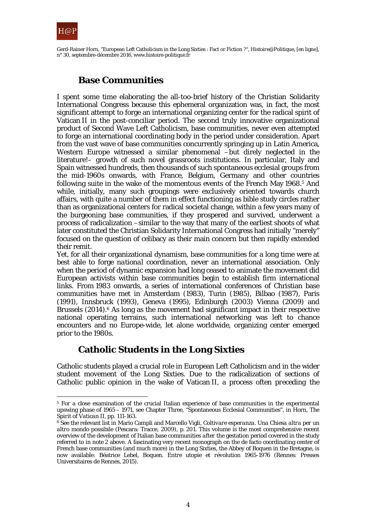

## **Base Communities**

I spent some time elaborating the all-too-brief history of the Christian Solidarity International Congress because this ephemeral organization was, in fact, the most significant attempt to forge an international organizing center for the radical spirit of Vatican II in the post-conciliar period. The second truly innovative organizational product of Second Wave Left Catholicism, base communities, never even attempted to forge an international coordinating body in the period under consideration. Apart from the vast wave of base communities concurrently springing up in Latin America, Western Europe witnessed a similar phenomenal -but direly neglected in the literature!– growth of such novel grassroots institutions. In particular, Italy and Spain witnessed hundreds, then thousands of such spontaneous ecclesial groups from the mid-1960s onwards, with France, Belgium, Germany and other countries following suite in the wake of the momentous events of the French May 1968.5 And while, initially, many such groupings were exclusively oriented towards church affairs, with quite a number of them in effect functioning as bible study circles rather than as organizational centers for radical societal change, within a few years many of the burgeoning base communities, if they prospered and survived, underwent a process of radicalization –similar to the way that many of the earliest shoots of what later constituted the Christian Solidarity International Congress had initially "merely" focused on the question of celibacy as their main concern but then rapidly extended their remit.

Yet, for all their organizational dynamism, base communities for a long time were at best able to forge *national* coordination, never an international association. Only when the period of dynamic expansion had long ceased to animate the movement did European activists within base communities begin to establish firm international links. From 1983 onwards, a series of international conferences of Christian base communities have met in Amsterdam (1983), Turin (1985), Bilbao (1987), Paris (1991), Innsbruck (1993), Geneva (1995), Edinburgh (2003) Vienna (2009) and Brussels  $(2014)$ .<sup>6</sup> As long as the movement had significant impact in their respective national operating terrains, such international networking was left to chance encounters and no Europe-wide, let alone worldwide, organizing center emerged prior to the 1980s.

### **Catholic Students in the Long Sixties**

Catholic students played a crucial role in European Left Catholicism *and* in the wider student movement of the Long Sixties. Due to the radicalization of sections of Catholic public opinion in the wake of Vatican II, a process often *preceding* the

 $\overline{a}$ <sup>5</sup> For a close examination of the crucial Italian experience of base communities in the experimental upswing phase of 1965 – 1971, see Chapter Three, "Spontaneous Ecclesial Communities", in Horn, *The Spirit of Vatican II*, pp. 111-163.

<sup>6</sup> See the relevant list in Mario Campli and Marcello Vigli, *Coltivare esperanza. Una Chiesa altra per un altro mondo possibile* (Pescara: Tracce, 2009), p. 201. This volume is the most comprehensive recent overview of the development of Italian base communities *after* the gestation period covered in the study referred to in note 2 above. A fascinating very recent monograph on the de facto coordinating center of French base communities (and much more) in the Long Sixties, the Abbey of Boquen in the Bretagne, is now available: Béatrice Lebel, *Boquen. Entre utopie et révolution 1965-1976* (Rennes: Presses Universitaires de Rennes, 2015).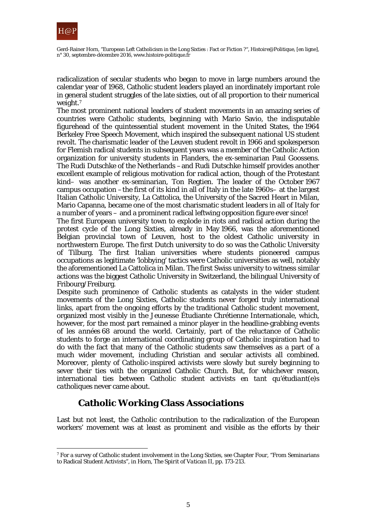

Gerd-Rainer Horn, "European Left Catholicism in the Long Sixties : Fact or Fiction ?", *Histoire@Politique*, [en ligne], n° 30, septembre-décembre 2016, www.histoire-politique.fr

radicalization of secular students who began to move in large numbers around the calendar year of 1968, Catholic student leaders played an inordinately important role in general student struggles of the late sixties, out of all proportion to their numerical weight.7

The most prominent national leaders of student movements in an amazing series of countries were Catholic students, beginning with Mario Savio, the indisputable figurehead of the quintessential student movement in the United States, the 1964 Berkeley Free Speech Movement, which inspired the subsequent national US student revolt. The charismatic leader of the Leuven student revolt in 1966 and spokesperson for Flemish radical students in subsequent years was a member of the Catholic Action organization for university students in Flanders, the ex-seminarian Paul Goossens. The Rudi Dutschke of the Netherlands –and Rudi Dutschke himself provides another excellent example of religious motivation for radical action, though of the Protestant kind– was another ex-seminarian, Ton Regtien. The leader of the October 1967 campus occupation –the first of its kind in all of Italy in the late 1960s– at the largest Italian Catholic University, La Cattolica, the University of the Sacred Heart in Milan, Mario Capanna, became one of the most charismatic student leaders in all of Italy for a number of years – and a prominent radical leftwing opposition figure ever since!

The first European university town to explode in riots and radical action during the protest cycle of the Long Sixties, already in May 1966, was the aforementioned Belgian provincial town of Leuven, host to the oldest Catholic university in northwestern Europe. The first Dutch university to do so was the Catholic University of Tilburg. The first Italian universities where students pioneered campus occupations as legitimate 'lobbying' tactics were Catholic universities as well, notably the aforementioned La Cattolica in Milan. The first Swiss university to witness similar actions was the biggest Catholic University in Switzerland, the bilingual University of Fribourg/Freiburg.

Despite such prominence of Catholic students as catalysts in the wider student movements of the Long Sixties, Catholic students never forged truly international links, apart from the ongoing efforts by the traditional Catholic student movement, organized most visibly in the Jeunesse Étudiante Chrétienne Internationale, which, however, for the most part remained a minor player in the headline-grabbing events of *les années 68* around the world. Certainly, part of the reluctance of Catholic students to forge an international coordinating group of Catholic inspiration had to do with the fact that many of the Catholic students saw themselves as a part of a much wider movement, including Christian and secular activists all combined. Moreover, plenty of Catholic-inspired activists were slowly but surely beginning to sever their ties with the organized Catholic Church. But, for whichever reason, international ties between Catholic student activists *en tant qu'étudiant(e)s catholiques* never came about.

# **Catholic Working Class Associations**

Last but not least, the Catholic contribution to the radicalization of the European workers' movement was at least as prominent and visible as the efforts by their

<sup>7</sup> For a survey of Catholic student involvement in the Long Sixties, see Chapter Four, "From Seminarians to Radical Student Activists", in Horn, *The Spirit of Vatican II,* pp. 173-213.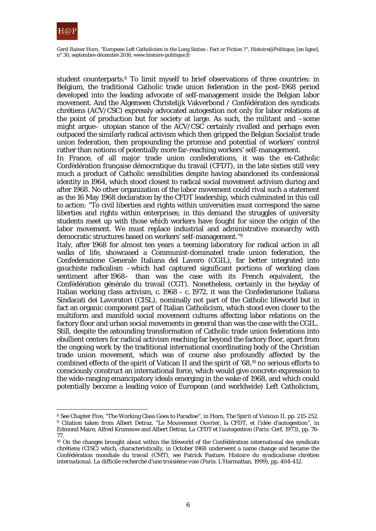

Gerd-Rainer Horn, "European Left Catholicism in the Long Sixties : Fact or Fiction ?", *Histoire@Politique*, [en ligne], n° 30, septembre-décembre 2016, www.histoire-politique.fr

student counterparts.8 To limit myself to brief observations of three countries: in Belgium, the traditional Catholic trade union federation in the post-1968 period developed into the leading advocate of self-management inside the Belgian labor movement. And the Algemeen Christelijk Vakverbond / Confédération des syndicats chrétiens (ACV/CSC) expressly advocated autogestion not only for labor relations at the point of production but for society at large. As such, the militant and –some might argue– utopian stance of the ACV/CSC certainly rivalled and perhaps even outpaced the similarly radical activism which then gripped the Belgian Socialist trade union federation, then propounding the promise and potential of workers' control rather than notions of potentially more far-reaching workers' self-management.

In France, of all major trade union confederations, it was the ex-Catholic Confédération française démocratique du travail (CFDT), in the late sixties still very much a product of Catholic sensibilities despite having abandoned its confessional identity in 1964, which stood closest to radical social movement activism during and after 1968. No other organization of the labor movement could rival such a statement as the 16 May 1968 declaration by the CFDT leadership, which culminated in this call to action: "To civil liberties and rights within universities must correspond the same liberties and rights within enterprises; in this demand the struggles of university students meet up with those which workers have fought for since the origin of the labor movement. We must replace industrial and administrative monarchy with democratic structures based on workers' self-management."9

Italy, after 1968 for almost ten years a teeming laboratory for radical action in all walks of life, showcased a Communist-dominated trade union federation, the Confederazione Generale Italiana del Lavoro (CGIL), far better integrated into *gauchiste* radicalism –which had captured significant portions of working class sentiment after 1968– than was the case with its French equivalent, the Confédération générale du travail (CGT). Nonetheless, certainly in the heyday of Italian working class activism, c. 1968 – c. 1972, it was the Confederazione Italiana Sindacati dei Lavoratori (CISL), nominally not part of the Catholic lifeworld but in fact an organic component part of Italian Catholicism, which stood even closer to the multiform and manifold social movement cultures affecting labor relations on the factory floor and urban social movements in general than was the case with the CGIL. Still, despite the astounding transformation of Catholic trade union federations into ebullient centers for radical activism reaching far beyond the factory floor, apart from the ongoing work by the traditional international coordinating body of the Christian trade union movement, which was of course also profoundly affected by the combined effects of the spirit of Vatican II and the spirit of '68,10 no serious efforts to consciously construct an international force, which would give concrete expression to the wide-ranging emancipatory ideals emerging in the wake of 1968, and which could potentially become a leading voice of European (and worldwide) Left Catholicism,

<sup>8</sup> See Chapter Five, "The Working Class Goes to Paradise", in Horn, *The Spirit of Vatican II*, pp. 215-252. <sup>9</sup> Citation taken from Albert Detraz, "Le Mouvement Ouvrier, la CFDT, et l'idée d'autogestion", in Edmond Maire, Alfred Krumnow and Albert Detraz, *La CFDT et l'autogestion* (Paris: Cerf, 1973), pp. 76- 77.

<sup>&</sup>lt;sup>10</sup> On the changes brought about within the lifeworld of the Confédération international des syndicats chrétiens (CISC) which, characteristically, in October 1968 underwent a name change and became the Confédération mondiale du travail (CMT), see Patrick Pasture, *Histoire du syndicalisme chrétien international. La difficile recherché d'une troisième voie* (Paris: L'Harmattan, 1999), pp. 404-412.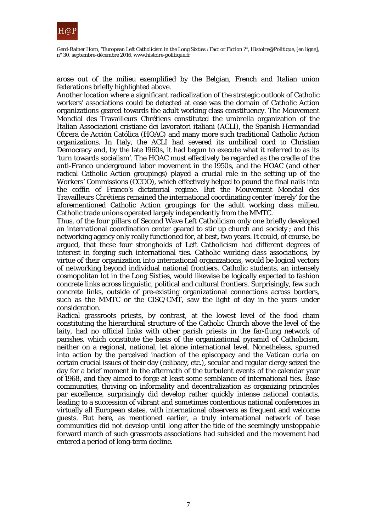

arose out of the milieu exemplified by the Belgian, French and Italian union federations briefly highlighted above.

Another location where a significant radicalization of the strategic outlook of Catholic workers' associations could be detected at ease was the domain of Catholic Action organizations geared towards the adult working class constituency. The Mouvement Mondial des Travailleurs Chrétiens constituted the umbrella organization of the Italian Associazioni cristiane dei lavoratori italiani (ACLI), the Spanish [Hermandad](http://www.hoac.es/)  [Obrera de Acción Católica](http://www.hoac.es/) (HOAC) and many more such traditional Catholic Action organizations. In Italy, the ACLI had severed its umbilical cord to Christian Democracy and, by the late 1960s, it had begun to execute what it referred to as its 'turn towards socialism'. The HOAC must effectively be regarded as the cradle of the anti-Franco underground labor movement in the 1950s, and the HOAC (and other radical Catholic Action groupings) played a crucial role in the setting up of the Workers' Commissions (CCOO), which effectively helped to pound the final nails into the coffin of Franco's dictatorial regime. But the Mouvement Mondial des Travailleurs Chrétiens remained the international coordinating center 'merely' for the aforementioned Catholic Action groupings for the adult working class milieu. Catholic trade unions operated largely independently from the MMTC.

Thus, of the four pillars of Second Wave Left Catholicism only one briefly developed an international coordination center geared to stir up church and society ; and this networking agency only really functioned for, at best, two years. It could, of course, be argued, that these four strongholds of Left Catholicism had different degrees of interest in forging such international ties. Catholic working class associations, by virtue of their organization into international organizations, would be logical vectors of networking beyond individual national frontiers. Catholic students, an intensely cosmopolitan lot in the Long Sixties, would likewise be logically expected to fashion concrete links across linguistic, political and cultural frontiers. Surprisingly, few such concrete links, outside of pre-existing organizational connections across borders, such as the MMTC or the CISC/CMT, saw the light of day in the years under consideration.

Radical grassroots priests, by contrast, at the lowest level of the food chain constituting the hierarchical structure of the Catholic Church above the level of the laity, had no official links with other parish priests in the far-flung network of parishes, which constitute the basis of the organizational pyramid of Catholicism, neither on a regional, national, let alone international level. Nonetheless, spurred into action by the perceived inaction of the episcopacy and the Vatican curia on certain crucial issues of their day (celibacy, etc.), secular and regular clergy seized the day for a brief moment in the aftermath of the turbulent events of the calendar year of 1968, and they aimed to forge at least some semblance of international ties. Base communities, thriving on informality and decentralization as organizing principles par excellence, surprisingly did develop rather quickly intense national contacts, leading to a succession of vibrant and sometimes contentious national conferences in virtually all European states, with international observers as frequent and welcome guests. But here, as mentioned earlier, a truly international network of base communities did not develop until long after the tide of the seemingly unstoppable forward march of such grassroots associations had subsided and the movement had entered a period of long-term decline.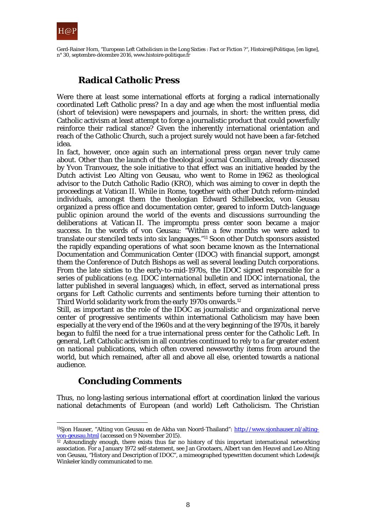

# **Radical Catholic Press**

Were there at least some international efforts at forging a radical internationally coordinated Left Catholic press? In a day and age when the most influential media (short of television) were newspapers and journals, in short: the written press, did Catholic activism at least attempt to forge a journalistic product that could powerfully reinforce their radical stance? Given the inherently international orientation and reach of the Catholic Church, such a project surely would not have been a far-fetched idea.

In fact, however, once again such an international press organ never truly came about. Other than the launch of the theological journal *Concilium*, already discussed by Yvon Tranvouez, the sole initiative to that effect was an initiative headed by the Dutch activist Leo Alting von Geusau, who went to Rome in 1962 as theological advisor to the Dutch Catholic Radio (KRO), which was aiming to cover in depth the proceedings at Vatican II. While in Rome, together with other Dutch reform-minded individuals, amongst them the theologian Edward Schillebeeckx, von Geusau organized a press office and documentation center, geared to inform Dutch-language public opinion around the world of the events and discussions surrounding the deliberations at Vatican II. The impromptu press center soon became a major success. In the words of von Geusau: "Within a few months we were asked to translate our stenciled texts into six languages."11 Soon other Dutch sponsors assisted the rapidly expanding operations of what soon became known as the International Documentation and Communication Center (IDOC) with financial support, amongst them the Conference of Dutch Bishops as well as several leading Dutch corporations. From the late sixties to the early-to-mid-1970s, the IDOC signed responsible for a series of publications (e.g. *IDOC international bulletin* and *IDOC international*, the latter published in several languages) which, in effect, served as international press organs for Left Catholic currents and sentiments before turning their attention to Third World solidarity work from the early 1970s onwards.12

Still, as important as the role of the IDOC as journalistic and organizational nerve center of progressive sentiments within international Catholicism may have been especially at the very end of the 1960s and at the very beginning of the 1970s, it barely began to fulfil the need for a true international press center for the Catholic Left. In general, Left Catholic activism in all countries continued to rely to a far greater extent on *national* publications, which often covered newsworthy items from around the world, but which remained, after all and above all else, oriented towards a national audience.

# **Concluding Comments**

Thus, no long-lasting serious international effort at coordination linked the various national detachments of European (and world) Left Catholicism. The Christian

 $\overline{a}$ <sup>11</sup>Sjon Hauser, "Alting von Geusau en de Akha van Noord-Thailand": [http://www.sjonhauser.nl/alting](http://www.sjonhauser.nl/alting-von-geusau.html)[von-geusau.html](http://www.sjonhauser.nl/alting-von-geusau.html) (accessed on 9 November 2015).

 $12$  Astoundingly enough, there exists thus far no history of this important international networking association. For a January 1972 self-statement, see Jan Grootaers, Albert van den Heuvel and Leo Alting von Geusau, "History and Description of IDOC", a mimeographed typewritten document which Lodewijk Winkeler kindly communicated to me.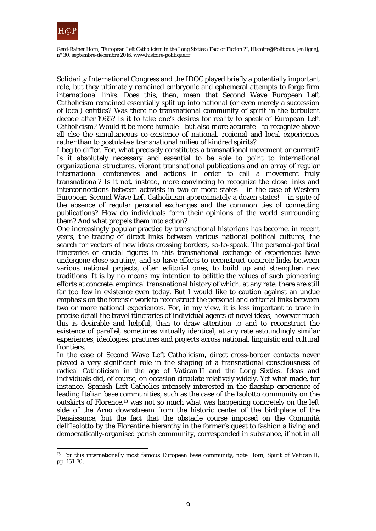

Solidarity International Congress and the IDOC played briefly a potentially important role, but they ultimately remained embryonic and ephemeral attempts to forge firm international links. Does this, then, mean that Second Wave European Left Catholicism remained essentially split up into national (or even merely a succession of local) entities? Was there no transnational community of spirit in the turbulent decade after 1965? Is it to take one's desires for reality to speak of European Left Catholicism? Would it be more humble –but also more accurate– to recognize above all else the simultaneous co-existence of national, regional and local experiences rather than to postulate a transnational milieu of kindred spirits?

I beg to differ. For, what precisely constitutes a transnational movement or current? Is it absolutely necessary and essential to be able to point to international organizational structures, vibrant transnational publications and an array of regular international conferences and actions in order to call a movement truly transnational? Is it not, instead, more convincing to recognize the close links and interconnections between activists in two or more states – in the case of Western European Second Wave Left Catholicism approximately a dozen states! – in spite of the absence of regular personal exchanges and the common ties of connecting publications? How do individuals form their opinions of the world surrounding them? And what propels them into action?

One increasingly popular practice by transnational historians has become, in recent years, the tracing of direct links between various national political cultures, the search for vectors of new ideas crossing borders, so-to-speak. The personal-political itineraries of crucial figures in this transnational exchange of experiences have undergone close scrutiny, and so have efforts to reconstruct concrete links between various national projects, often editorial ones, to build up and strengthen new traditions. It is by no means my intention to belittle the values of such pioneering efforts at concrete, empirical transnational history of which, at any rate, there are still far too few in existence even today. But I would like to caution against an undue emphasis on the forensic work to reconstruct the personal and editorial links between two or more national experiences. For, in my view, it is less important to trace in precise detail the travel itineraries of individual agents of novel ideas, however much this is desirable and helpful, than to draw attention to and to reconstruct the existence of parallel, sometimes virtually identical, at any rate astoundingly similar experiences, ideologies, practices and projects across national, linguistic and cultural frontiers.

In the case of Second Wave Left Catholicism, direct cross-border contacts never played a very significant role in the shaping of a transnational consciousness of radical Catholicism in the age of Vatican II and the Long Sixties. Ideas and individuals did, of course, on occasion circulate relatively widely. Yet what made, for instance, Spanish Left Catholics intensely interested in the flagship experience of leading Italian base communities, such as the case of the Isolotto community on the outskirts of Florence,13 was not so much what was happening concretely on the left side of the Arno downstream from the historic center of the birthplace of the Renaissance, but the fact that the obstacle course imposed on the Comunità dell'Isolotto by the Florentine hierarchy in the former's quest to fashion a living and democratically-organised parish community, corresponded in substance, if not in all

 $\overline{a}$ <sup>13</sup> For this internationally most famous European base community, note Horn, *Spirit of Vatican II*, pp. 151-70.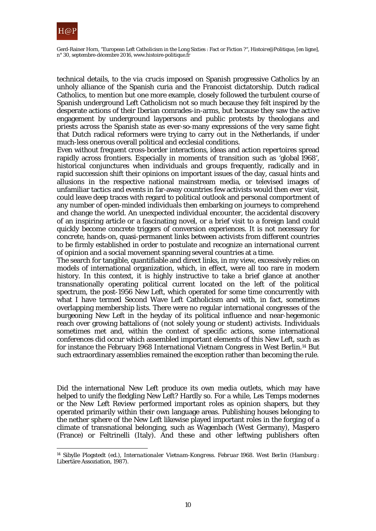

technical details, to the *via crucis* imposed on Spanish progressive Catholics by an unholy alliance of the Spanish curia and the Francoist dictatorship. Dutch radical Catholics, to mention but one more example, closely followed the turbulent course of Spanish underground Left Catholicism not so much because they felt inspired by the desperate actions of their Iberian comrades-in-arms, but because they saw the active engagement by underground laypersons and public protests by theologians and priests across the Spanish state as ever-so-many expressions of the very same fight that Dutch radical reformers were trying to carry out in the Netherlands, if under much-less onerous overall political and ecclesial conditions.

Even without frequent cross-border interactions, ideas and action repertoires spread rapidly across frontiers. Especially in moments of transition such as 'global 1968', historical conjunctures when individuals and groups frequently, radically and in rapid succession shift their opinions on important issues of the day, casual hints and allusions in the respective national mainstream media, or televised images of unfamiliar tactics and events in far-away countries few activists would then ever visit, could leave deep traces with regard to political outlook and personal comportment of any number of open-minded individuals then embarking on journeys to comprehend and change the world. An unexpected individual encounter, the accidental discovery of an inspiring article or a fascinating novel, or a brief visit to a foreign land could quickly become concrete triggers of conversion experiences. It is not necessary for concrete, hands-on, quasi-permanent links between activists from different countries to be firmly established in order to postulate and recognize an international current of opinion and a social movement spanning several countries at a time.

The search for tangible, quantifiable and direct links, in my view, excessively relies on models of international organization, which, in effect, were all too rare in modern history. In this context, it is highly instructive to take a brief glance at another transnationally operating political current located on the left of the political spectrum, the post-1956 New Left, which operated for some time concurrently with what I have termed Second Wave Left Catholicism and with, in fact, sometimes overlapping membership lists. There were no regular international congresses of the burgeoning New Left in the heyday of its political influence and near-hegemonic reach over growing battalions of (not solely young or student) activists. Individuals sometimes met and, within the context of specific actions, some international conferences did occur which assembled important elements of this New Left, such as for instance the February 1968 International Vietnam Congress in West Berlin.14 But such extraordinary assemblies remained the exception rather than becoming the rule.

Did the international New Left produce its own media outlets, which may have helped to unify the fledgling New Left? Hardly so. For a while, *Les Temps modernes* or the *New Left Review* performed important roles as opinion shapers, but they operated primarily within their own language areas. Publishing houses belonging to the nether sphere of the New Left likewise played important roles in the forging of a climate of transnational belonging, such as Wagenbach (West Germany), Maspero (France) or Feltrinelli (Italy). And these and other leftwing publishers often

 $\overline{a}$ <sup>14</sup> Sibylle Plogstedt (ed.), *Internationaler Vietnam-Kongress. Februar 1968. West Berlin* (Hamburg : Libertäre Assoziation, 1987).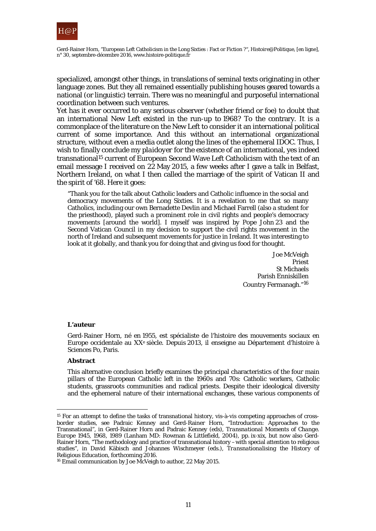

specialized, amongst other things, in translations of seminal texts originating in other language zones. But they all remained essentially publishing houses geared towards a national (or linguistic) terrain. There was no meaningful and purposeful international coordination between such ventures.

Yet has it ever occurred to any serious observer (whether friend or foe) to doubt that an international New Left existed in the run-up to 1968? To the contrary. It is a commonplace of the literature on the New Left to consider it an international political current of some importance. And this without an international organizational structure, without even a media outlet along the lines of the ephemeral IDOC. Thus, I wish to finally conclude my *plaidoyer* for the existence of an international, yes indeed transnational15 current of European Second Wave Left Catholicism with the text of an email message I received on 22 May 2015, a few weeks after I gave a talk in Belfast, Northern Ireland, on what I then called the marriage of the spirit of Vatican II and the spirit of '68. Here it goes:

"Thank you for the talk about Catholic leaders and Catholic influence in the social and democracy movements of the Long Sixties. It is a revelation to me that so many Catholics, including our own Bernadette Devlin and Michael Farrell (also a student for the priesthood), played such a prominent role in civil rights and people's democracy movements [around the world]. I myself was inspired by Pope John 23 and the Second Vatican Council in my decision to support the civil rights movement in the north of Ireland and subsequent movements for justice in Ireland. It was interesting to look at it globally, and thank you for doing that and giving us food for thought.

> Joe McVeigh Priest St Michaels Parish Enniskillen Country Fermanagh."<sup>16</sup>

#### **L'auteur**

Gerd-Rainer Horn, né en 1955, est spécialiste de l'histoire des mouvements sociaux en Europe occidentale au XXe siècle. Depuis 2013, il enseigne au Département d'histoire à Sciences Po, Paris.

#### **Abstract**

 $\overline{a}$ 

This alternative conclusion briefly examines the principal characteristics of the four main pillars of the European Catholic left in the 1960s and 70s: Catholic workers, Catholic students, grassroots communities and radical priests. Despite their ideological diversity and the ephemeral nature of their international exchanges, these various components of

<sup>15</sup> For an attempt to define the tasks of transnational history, vis-à-vis competing approaches of crossborder studies, see Padraic Kenney and Gerd-Rainer Horn, "Introduction: Approaches to the Transnational", in Gerd-Rainer Horn and Padraic Kenney (eds), *Transnational Moments of Change. Europe 1945, 1968, 1989* (Lanham MD: Rowman & Littlefield, 2004), pp. ix-xix, but now also Gerd-Rainer Horn, "The methodology and practice of transnational history –with special attention to religious studies", in David Käbisch and Johannes Wischmeyer (eds.), *Transnationalising the History of Religious Education*, forthcoming 2016.

<sup>16</sup> Email communication by Joe McVeigh to author, 22 May 2015.